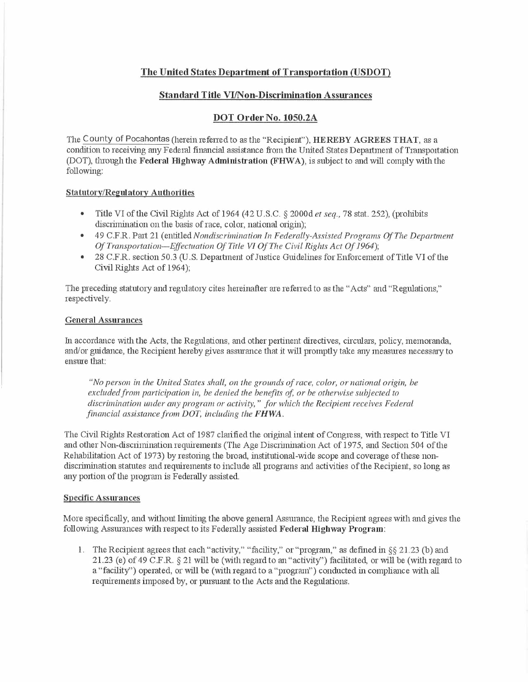## **The United States Department of Transportation (USDOT)**

#### **Standard Title VI/Non-Discrimination Assurances**

### **DOT Order No. 1050.2A**

The County of Pocahontas (herein referred to as the "Recipient"), **HEREBY AGREES THAT,** as a condition to receiving any Federal financial assistance from the United States Department of Transportation (DOT), through the **Federal Highway Administration (FHW A),** is subject to and will comply with the following:

#### **Statutory/Regulatory Authorities**

- Title VI of the Civil Rights Act of 1964 (42 U.S.C. § 2000d *et seq.,* 78 stat. 252), (prohibits discrimination on the basis of race, color, national origin);
- 49 C.F.R. Part 21 ( entitled *Nondiscrimination In Federally-Assisted Programs Of The Department Of Transportation-Effectuation Of Title* VJ *Of The Civil Rights Act Of 1964);*
- 28 C.F.R. section 50.3 (U.S. Department of Justice Guidelines for Enforcement of Title VI of the Civil Rights Act of 1964);

The preceding statutory and regulatory cites hereinafter are referred to as the "Acts" and "Regulations," respectively.

#### **General Assurances**

In accordance with the Acts, the Regulations, and other pertinent directives, circulars, policy, memoranda, and/or guidance, the Recipient hereby gives assurance that it will promptly take any measures necessary to ensure that:

*"No person in the United States shall, on the grounds of race, color, or national origin, be excluded from participation in, be denied the benefits of; or be otherwise subjected to discrimination under any program or activity," for which the Recipient receives Federal financial assistance from DOT, including the FHWA.* 

The Civil Rights Restoration Act of 1987 clarified the original intent of Congress, with respect to Title VI and other Non-discrimination requirements (The Age Discrimination Act of 1975, and Section 504 of the Rehabilitation Act of 1973) by restoring the broad, institutional-wide scope and coverage of these nondiscrimination statutes and requirements to include all programs and activities of the Recipient, so long as any portion of the program is Federally assisted.

#### **Specific Assurances**

More specifically, and without limiting the above general Assurance, the Recipient agrees with and gives the following Assurances with respect to its Federally assisted **Federal Highway Program:** 

1. The Recipient agrees that each "activity," "facility," or "program," as defined in §§ 21.23 (b) and 21.23 (e) of 49 C.F.R. § 21 will be (with regard to an "activity") facilitated, or will be (with regard to a "facility") operated, or will be (with regard to a "program") conducted in compliance with all requirements imposed by, or pursuant to the Acts and the Regulations.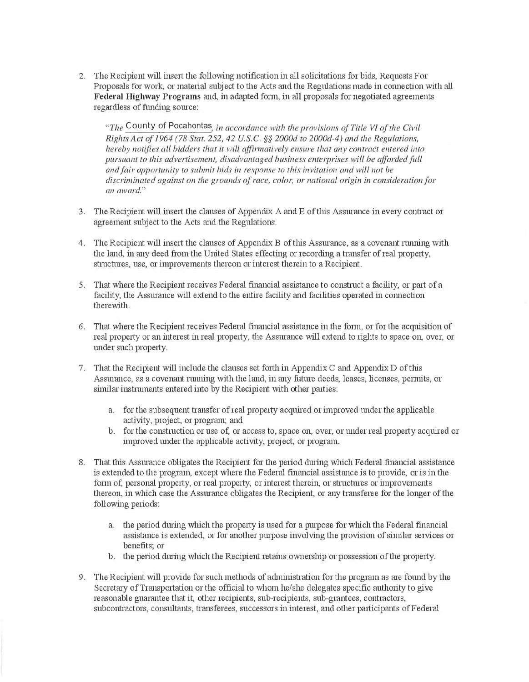2. The Recipient will insert the following notification in all solicitations for bids, Requests For Proposals for work, or material subject to the Acts and the Regulations made in connection with all **Federal Highway Programs** and, in adapted form, in all proposals for negotiated agreements regardless of funding source:

*"The* County of Pocahontas, *in accordance with the provisions of Title \II of the Civil Rights Act of 1964 (78 Stat. 252, 42 U.S.C. §§ 2000d to 2000d-4) and the Regulations, hereby notifies all bidders that it will offirmatively ensure that any contract entered into pursuant to this advertisement, disadvantaged business enterprises will be afforded full and fair opportunity to submit bids in response to this invitation and will not be discriminated against on the grounds of race, color, or national origin in consideration for an award."* 

- 3. The Recipient will insert the clauses of Appendix A and E of this Assurance in every contract or agreement subject to the Acts and the Regulations.
- 4. The Recipient will insert the clauses of Appendix B oftlris Assurance, as a covenant running with the land, in any deed from the United States effecting or recording a transfer ofreal property, structures, use, or improvements thereon or interest therein to a Recipient.
- 5. That where the Recipient receives Federal financial assistance to construct a facility, or part of a facility, the Assurance will extend to the entire facility and facilities operated in connection therewith.
- 6. That where the Recipient receives Federal financial assistance in the form, or for the acquisition of real property or an interest in real property, the Assurance will extend to rights to space on, over, or under such property.
- 7. That the Recipient will include the clauses set forth in Appendix C and Appendix D of this Assurance, as a covenant running with the land, in any future deeds, leases, licenses, pernrits, or similar instnunents entered into by the Recipient with other parties:
	- a. for the subsequent transfer of real property acquired or improved under the applicable activity, project, or program; and
	- b. for the constmction or use of, or access to, space on, over, or under real property acquired or improved under the applicable activity, project, or program.
- 8. That this Assurance obligates the Recipient for the period during which Federal financial assistance is extended to the program, except where the Federal financial assistance is to provide, or is in the form of, personal property, or real property, or interest therein, or structures or improvements thereon, in which case the Assurance obligates the Recipient, or any transferee for the longer of the following periods:
	- a. the period during which the property is used for a purpose for which the Federal financial assistance is extended, or for another purpose involving the provision of similar services or benefits; or
	- b. the period during which the Recipient retains ownership or possession of the property,
- 9. The Recipient will provide for such methods of administration for the program as are found by the Secretary of Transportation or the official to whom he/she delegates specific authority to give reasonable guarantee that it, other recipients, sub-recipients, sub-grantees, contractors, subcontractors, consultants, transferees, successors in interest, and other participants of Federal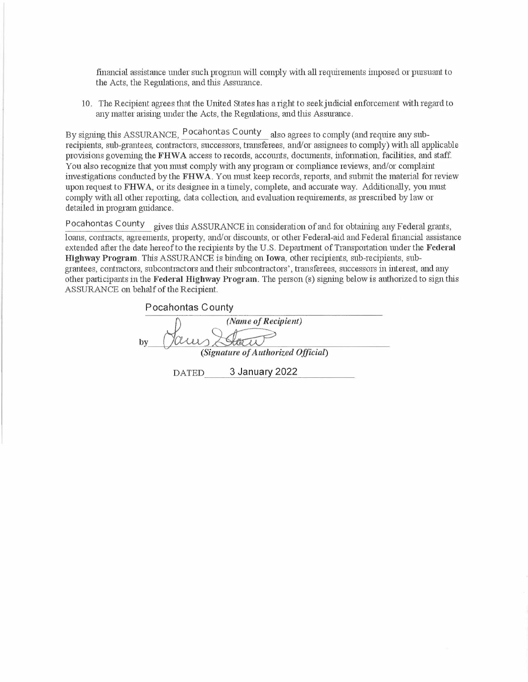financial assistance under such program will comply with all requirements imposed or pursuant to the Acts, the Regulations, and this Assurance,

10. The Recipient agrees that the United States has a right to seek judicial enforcement with regard to any matter arising under the Acts, the Regulations, and this Assurance.

By signing this ASSURANCE, Pocahontas County also agrees to comply (and require any subrecipients, sub-grantees, contractors, successors, transferees, and/or assignees to comply) with all applicable provisions governing the **FHWA** access to records, accounts, documents, information, facilities, and staff. You also recognize that you must comply with any program or compliance reviews, and/or complaint investigations conducted by the **FHW A.** You must keep records, reports, and submit the material for review upon request to **FHWA,** or its designee in a timely, complete, and accurate way. Additionally, you must comply with all other reporting, data collection, and evaluation requirements, as prescribed by law or detailed in program guidance.

Pocahontas County gives this ASSURANCE in consideration of and for obtaining any Federal grants, loans, contracts, agreements, property, and/or discounts, or other Federal-aid and Federal financial assistance extended after the date hereof to the recipients by the U.S. Department of Transportation under the **Federal Highway Program.** This ASSURANCE is binding on **Iowa,** other recipients, sub-recipients, subgrantees, contractors, subcontractors and their subcontractors', transferees, successors in interest, and any other participants in the **Federal Highway Program.** The person (s) signing below is authorized to sign this ASSURANCE on behalf of the Recipient.

| Pocahontas County                  |              |                     |
|------------------------------------|--------------|---------------------|
|                                    |              | (Name of Recipient) |
| bv                                 |              |                     |
| (Signature of Authorized Official) |              |                     |
|                                    | <b>DATED</b> | 3 January 2022      |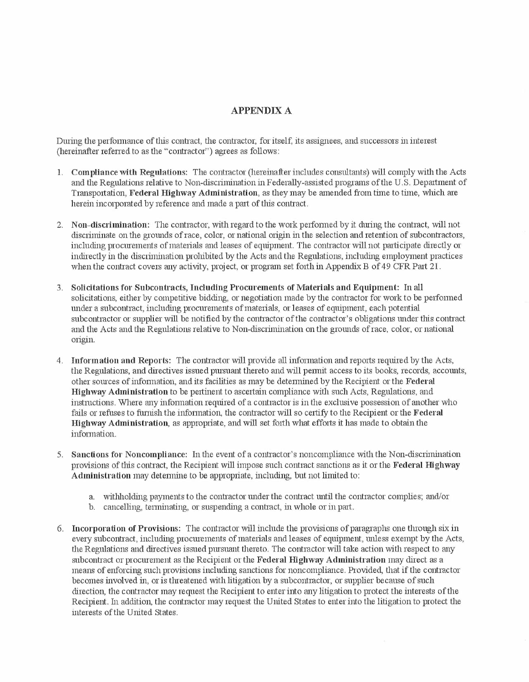# **APPENDIX A**

During the performance of this contract, the contractor, for itself, its assignees, and successors in interest (hereinafter referred to as the "contractor") agrees as follows:

- 1. **Compliance with Regulations:** The contractor (hereinafter includes consultants) will comply with the Acts and the Regulations relative to Non-discrimination in Federally-assisted programs of the U.S. Department of Transportation, **Federal Highway Administration,** as they may be amended from time to time, which are herein incorporated by reference and made a part of this contract.
- 2. **N on-cliscrimination:** The contractor, with regard to the work performed by it during the contract, will not discriminate on the grounds of race, color, or national origin in the selection and retention of subcontractors, including procurements of materials and leases of equipment. The contractor will not participate directly or indirectly in the discrimination prohibited by the Acts and the Regulations, including employment practices when the contract covers any activity, project, or program set forth in Appendix B of 49 CFR Part 21.
- 3. **Solicitations for Subcontracts, lnclucling Procurements of Materials and Equipment:** In all solicitations, either by competitive bidding, or negotiation made by the contractor for work to be performed under a subcontract, including procurements of materials, or leases of equipment, each potential subcontractor or supplier will be notified by the contractor of the contractor's obligations under this contract and the Acts and the Regulations relative to Non-discrimination on the grounds of race, color, or national origin.
- 4. **Information and Reports:** The contractor will provide all information and reports required by the Acts, the Regulations, and directives issued pursuant thereto and will pennit access to its books, records, accounts, other sources of information, and its facilities as may be determined by the Recipient or the **Federal Highway Administration** to be pertinent to ascertain compliance with such Acts, Regulations, and instrnctions. Where any information required of a contractor is in the exclusive possession of another who fails or refuses to furnish the information, the contractor will so certify to the Recipient or the **Federal Highway Administration,** as appropriate, and will set forth what efforts it has made to obtain the information.
- 5. **Sanctions for Noncompliance:** In the event of a contractor's noncompliance with the Non-discrimination provisions of this contract, the Recipient will impose such contract sanctions as it or the **Federal Highway Administration** may determine to be appropriate, including, but not limited to:
	- a. withholding payments to the contractor under the contract until the contractor complies; and/or
	- b. cancelling, terminating, or suspending a contract, in whole or in part.
- 6. **Incorporation of Provisions:** The contractor will include the provisions of paragraphs one through six in every subcontract, including procurements of materials and leases of equipment, unless exempt by the Acts, the Regulations and directives issued pursuant thereto. The contractor will take action with respect to any subcontract or procurement as the Recipient or the **Federal Highway Aclministration** may direct as a means of enforcing such provisions including sanctions for noncompliance. Provided, that if the contractor becomes involved in, or is threatened with litigation by a subcontractor, or supplier because of such direction, the contractor may request the Recipient to enter into any litigation to protect the interests of the Recipient. In addition, the contractor may request the United States to miter into the litigation to protect the interests of the United States.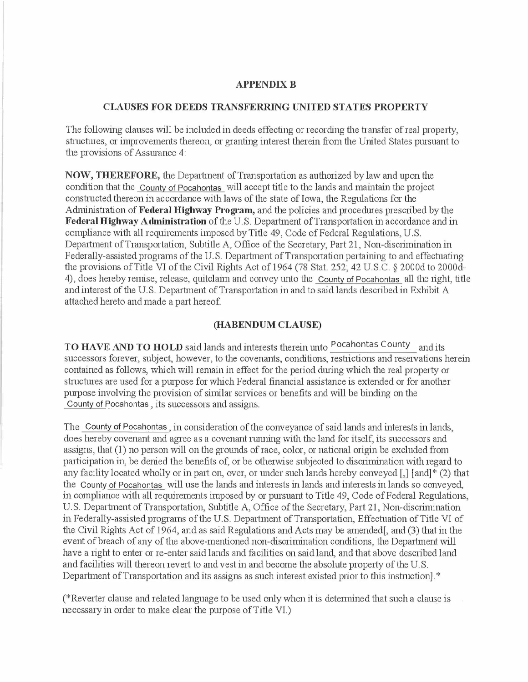#### **APPENDIX B**

### **CLAUSES FOR DEEDS TRANSFERRING UNITED STATES PROPERTY**

The following clauses will be included in deeds effecting or recording the transfer of real property, structures, or improvements thereon, or granting interest therein from the United States pursuant to the provisions of Assurance 4:

**NOW, THEREFORE,** the Department of Transportation as authorized by law and upon the condition that the County of Pocahontas will accept title to the lands and maintain the project constructed thereon in accordance with laws of the state of Iowa, the Regulations for the Administration of **Federal Highway Program,** and the policies and procedures prescribed by the Federal Highway Administration of the U.S. Department of Transportation in accordance and in compliance with all requirements imposed by Title 49, Code of Federal Regulations, U.S. Department of Transportation, Subtitle A, Office of the Secretary, Part 21, Non-discrimination in Federally-assisted programs of the U.S. Department of Transportation pertaining to and effectuating the provisions of Title VI of the Civil Rights Act of 1964 (78 Stat. 252; 42 U.S.C. *§* 2000d to 2000d-4), does hereby remise, release, quitclaim and convey unto the County of Pocahontas all the right, title and interest of the U.S. Department of Transportation in and to said lands described in Exhibit A attached hereto and made a part hereof.

## **(HABENDUM CLAUSE)**

**TO HAVE AND TO HOLD** said lands and interests therein unto Pocahontas County and its successors forever, subject, however, to the covenants, conditions, restrictions and reservations herein contained as follows, which will remain in effect for the period during which the real property or structures are used for a purpose for which Federal financial assistance is extended or for another purpose involving the provision of similar services or benefits and will be binding on the County of Pocahontas, its successors and assigns.

The County of Pocahontas, in consideration of the conveyance of said lands and interests in lands, does hereby covenant and agree as a covenant running with the land for itself, its successors and assigns, that (1) no person will on the grounds of race, color, or national origin be excluded from participation in, be denied the benefits of, or be otherwise subjected to discrimination with regard to any facility located wholly or in part on, over, or under such lands hereby conveyed[,] [and]\* (2) that the County of Pocahontas will use the lands and interests in lands and interests in lands so conveyed, in compliance with all requirements imposed by or pursuant to Title 49, Code of Federal Regulations, U.S. Department of Transportation, Subtitle A, Office of the Secretary, Part 21, Non-discrimination in Federally-assisted programs of the U.S. Department of Transportation, Effectuation of Title VI of the Civil Rights Act of 1964, and as said Regulations and Acts may be amended[, and (3) that in the event of breach of any of the above-mentioned non-discrimination conditions, the Department will have a right to enter or re-enter said lands and facilities on said land, and that above described land and facilities will thereon revert to and vest in and become the absolute property of the U.S. Department of Transportation and its assigns as such interest existed prior to this instruction].<sup>\*</sup>

(\*Revelier clause and related language to be used only when it is determined that such a clause is necessary in order to make clear the purpose of Title VI.)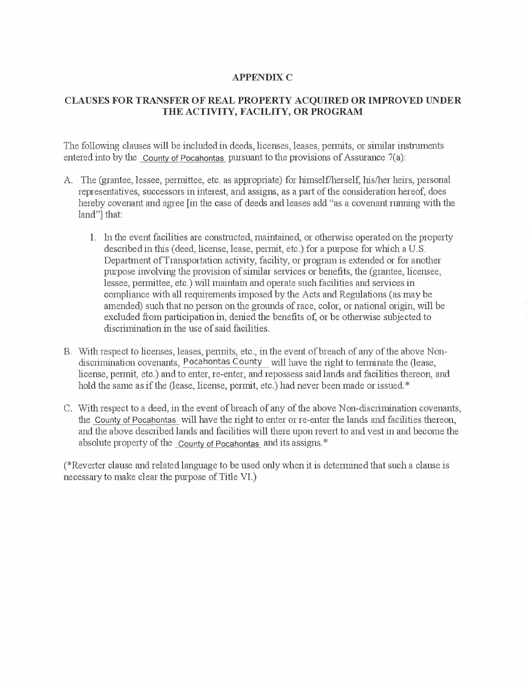## **APPENDIX C**

## **CLAUSES FOR TRANSFER OF REAL PROPERTY ACQUIRED OR IMPROVED UNDER THE ACTIVITY, FACILITY, OR PROGRAM**

The following clauses will be included in deeds, licenses, leases, permits, or similar instruments entered into by the County of Pocahontas pursuant to the provisions of Assurance 7(a):

- A. The (grantee, lessee, permittee, etc. as appropriate) for himself/herself, his/her heirs, personal representatives, successors in interest, and assigns, as a part of the consideration hereof, does hereby covenant and agree [in the case of deeds and leases add "as a covenant running with the land"] that:
	- 1. In the event facilities are constructed, maintained, or otherwise operated on the property described in this (deed, license, lease, permit, etc.) for a purpose for which a U.S. Department of Transportation activity, facility, or program is extended or for another purpose involving the provision of similar services or benefits, the (grantee, licensee, lessee, permittee, etc.) will maintain and operate such facilities and services in compliance with all requirements imposed by the Acts and Regulations ( as may be amended) such that no person on the grounds of race, color, or national origin, will be excluded from participation in, denied the benefits of, or be otherwise subjected to discrimination in the use of said facilities.
- B. With respect to licenses, leases, permits, etc., in the event of breach of any of the above Nondiscrimination covenants, Pocahontas County will have the right to terminate the (lease, license, permit, etc.) and to enter, re-enter, and repossess said lands and facilities thereon, and hold the same as if the (lease, license, permit, etc.) had never been made or issued.\*
- C. With respect to a deed, in the event of breach of any of the above Non-discrimination covenants, the County of Pocahontas will have the right to enter or re-enter the lands and facilities thereon, and the above described lands and facilities will there upon revert to and vest in and become the absolute property of the County of Pocahontas and its assigns."

(\*Reverter clause and related language to be used only when it is determined that such a clause is necessary to make clear the purpose of Title VI.)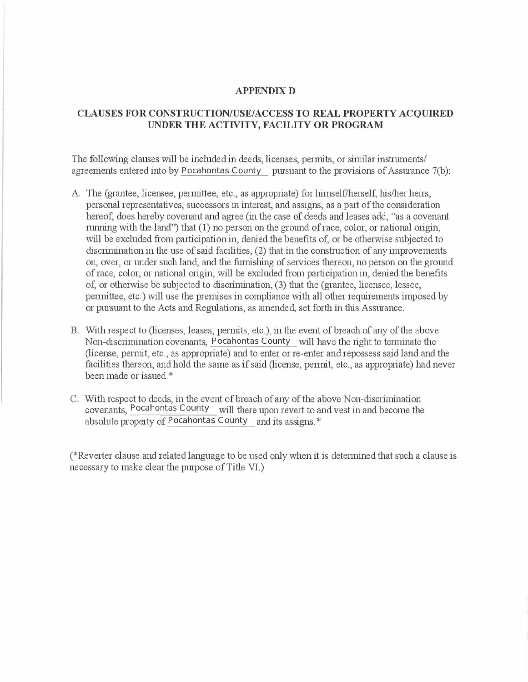### **APPENDIX D**

## **CLAUSES FOR CONSTRUCTION/USE/ACCESS TO REAL PROPERTY ACQUIRED UNDER THE ACTIVITY, FACILITY OR PROGRAM**

The following clauses will be included in deeds, licenses, permits, or similar instruments/ agreements entered into by Pocahontas County pursuant to the provisions of Assurance 7(b):

- A The (grantee, licensee, permittee, etc., as appropriate) for himself/herself, his/her heirs, personal representatives, successors in interest, and assigns, as a part of the consideration hereof, does hereby covenant and agree (in the case of deeds and leases add, "as a covenant running with the land") that (1) no person on the ground of race, color, or national origin, will be excluded from participation in, denied the benefits of, or be otherwise subjected to discrimination in the use of said facilities, (2) that in the construction of any improvements on, over, or under such land, and the furnishing of services thereon, no person on the ground of race, color, or national origin, will be excluded from participation in, denied the benefits of, or otherwise be subjected to discrimination, (3) that the (grantee, licensee, lessee, pennittee, etc.) will use the premises in compliance with all other requirements imposed by or pursuant to the Acts and Regulations, as amended, set forth in this Assurance.
- B. With respect to (licenses, leases, permits, etc.), in the event of breach of any of the above Non-discrimination covenants, Pocahontas County will have the right to terminate the (license, permit, etc., as appropriate) and to enter or re-enter and repossess said land and the facilities thereon, and hold the same as if said (license, permit, etc., as appropriate) had never been made or issued.\*
- C. With respect to deeds, in the event of breach of any of the above Non-discrimination covenants, Pocahontas County will there upon revert to and vest in and become the absolute property of Pocahontas County and its assigns."

(\*Reverter clause and related language to be used only when it is determined that such a clause is necessary to make clear the purpose of Title VI.)